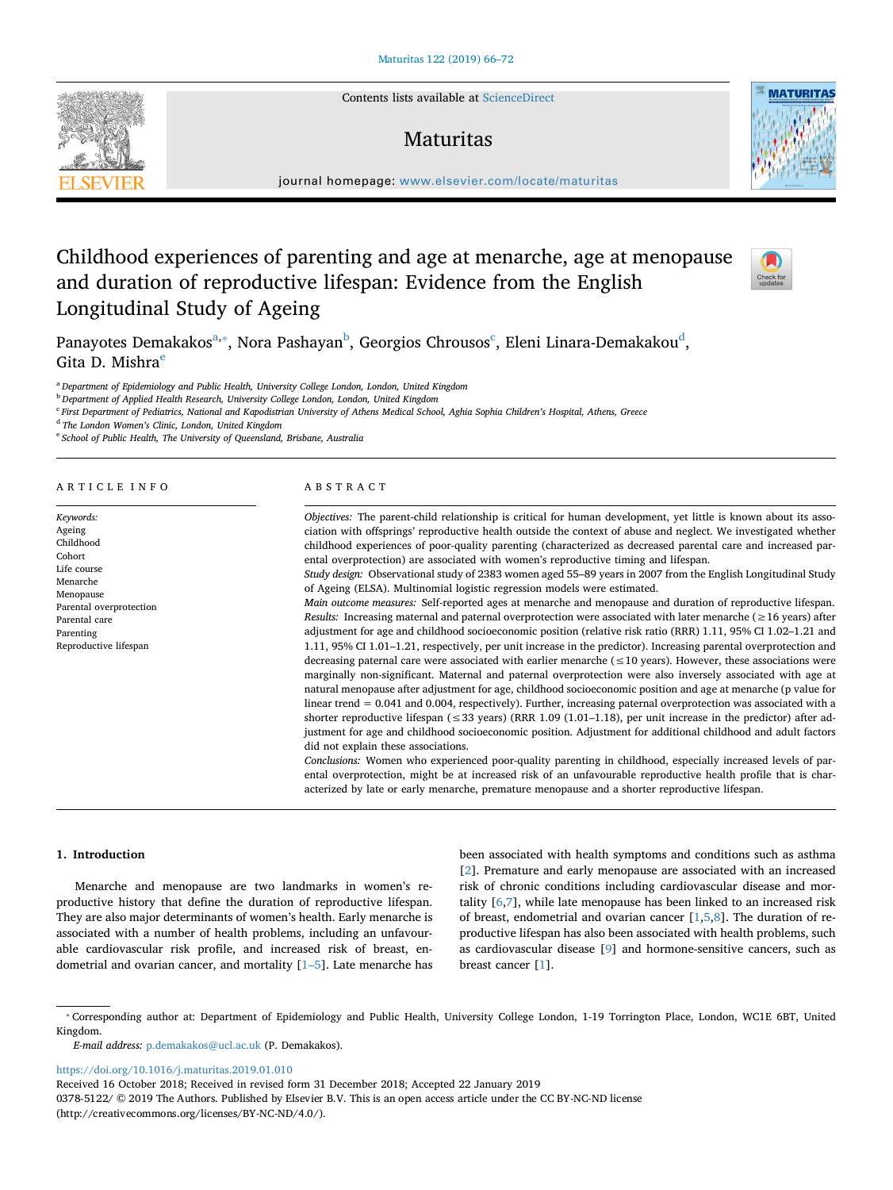Contents lists available at [ScienceDirect](http://www.sciencedirect.com/science/journal/03785122)

# Maturitas

**MATURITAS** 

 $\frac{N}{2}$ 



# Childhood experiences of parenting and age at menarche, age at menopause and duration of reproductive lifespan: Evidence from the English Longitudinal Study of Ageing

Panayotes Demakakos<sup>[a,](#page-0-0)</sup>\*, Nora Pashayan<sup>[b](#page-0-2)</sup>, Georgios Chrousos<sup>[c](#page-0-3)</sup>, Eleni Linara-Demakakou<sup>[d](#page-0-4)</sup>, Gita D. Mishra<sup>[e](#page-0-5)</sup>

<span id="page-0-0"></span><sup>a</sup> *Department of Epidemiology and Public Health, University College London, London, United Kingdom*

<span id="page-0-2"></span><sup>b</sup> *Department of Applied Health Research, University College London, London, United Kingdom*

<span id="page-0-3"></span><sup>c</sup> *First Department of Pediatrics, National and Kapodistrian University of Athens Medical School, Aghia Sophia Children's Hospital, Athens, Greece*

<span id="page-0-4"></span><sup>d</sup> *The London Women's Clinic, London, United Kingdom*

<span id="page-0-5"></span><sup>e</sup> *School of Public Health, The University of Queensland, Brisbane, Australia*

# ARTICLE INFO

*Keywords:* Ageing Childhood Cohort Life course Menarche Menopause Parental overprotection Parental care Parenting Reproductive lifespan

# ABSTRACT

*Objectives:* The parent-child relationship is critical for human development, yet little is known about its association with offsprings' reproductive health outside the context of abuse and neglect. We investigated whether childhood experiences of poor-quality parenting (characterized as decreased parental care and increased parental overprotection) are associated with women's reproductive timing and lifespan.

*Study design:* Observational study of 2383 women aged 55–89 years in 2007 from the English Longitudinal Study of Ageing (ELSA). Multinomial logistic regression models were estimated.

*Main outcome measures:* Self-reported ages at menarche and menopause and duration of reproductive lifespan. *Results:* Increasing maternal and paternal overprotection were associated with later menarche (≥16 years) after adjustment for age and childhood socioeconomic position (relative risk ratio (RRR) 1.11, 95% CI 1.02–1.21 and 1.11, 95% CI 1.01–1.21, respectively, per unit increase in the predictor). Increasing parental overprotection and decreasing paternal care were associated with earlier menarche ( $\leq$ 10 years). However, these associations were marginally non-significant. Maternal and paternal overprotection were also inversely associated with age at natural menopause after adjustment for age, childhood socioeconomic position and age at menarche (p value for linear trend = 0.041 and 0.004, respectively). Further, increasing paternal overprotection was associated with a shorter reproductive lifespan (≤33 years) (RRR 1.09 (1.01–1.18), per unit increase in the predictor) after adjustment for age and childhood socioeconomic position. Adjustment for additional childhood and adult factors did not explain these associations.

*Conclusions:* Women who experienced poor-quality parenting in childhood, especially increased levels of parental overprotection, might be at increased risk of an unfavourable reproductive health profile that is characterized by late or early menarche, premature menopause and a shorter reproductive lifespan.

### **1. Introduction**

Menarche and menopause are two landmarks in women's reproductive history that define the duration of reproductive lifespan. They are also major determinants of women's health. Early menarche is associated with a number of health problems, including an unfavourable cardiovascular risk profile, and increased risk of breast, endometrial and ovarian cancer, and mortality [\[1–5](#page-5-0)]. Late menarche has

been associated with health symptoms and conditions such as asthma [[2](#page-5-1)]. Premature and early menopause are associated with an increased risk of chronic conditions including cardiovascular disease and mortality [[6](#page-5-2),[7](#page-5-3)], while late menopause has been linked to an increased risk of breast, endometrial and ovarian cancer  $[1,5,8]$  $[1,5,8]$  $[1,5,8]$  $[1,5,8]$  $[1,5,8]$ . The duration of reproductive lifespan has also been associated with health problems, such as cardiovascular disease [[9](#page-6-1)] and hormone-sensitive cancers, such as breast cancer [[1](#page-5-0)].

*E-mail address:* [p.demakakos@ucl.ac.uk](mailto:p.demakakos@ucl.ac.uk) (P. Demakakos).

<https://doi.org/10.1016/j.maturitas.2019.01.010>

<span id="page-0-1"></span><sup>⁎</sup> Corresponding author at: Department of Epidemiology and Public Health, University College London, 1-19 Torrington Place, London, WC1E 6BT, United Kingdom.

Received 16 October 2018; Received in revised form 31 December 2018; Accepted 22 January 2019

<sup>0378-5122/ © 2019</sup> The Authors. Published by Elsevier B.V. This is an open access article under the CC BY-NC-ND license (http://creativecommons.org/licenses/BY-NC-ND/4.0/).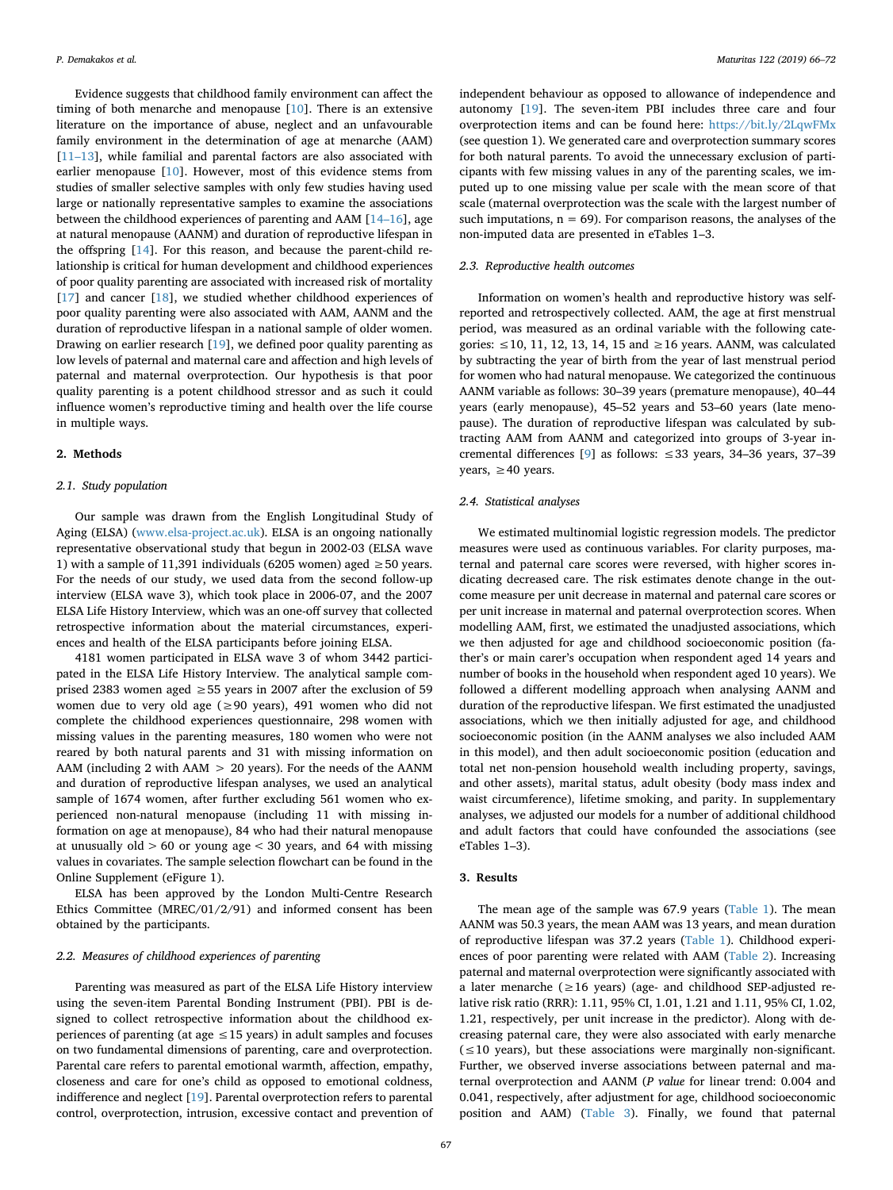Evidence suggests that childhood family environment can affect the timing of both menarche and menopause [[10\]](#page-6-2). There is an extensive literature on the importance of abuse, neglect and an unfavourable family environment in the determination of age at menarche (AAM) [[11–13\]](#page-6-3), while familial and parental factors are also associated with earlier menopause [[10\]](#page-6-2). However, most of this evidence stems from studies of smaller selective samples with only few studies having used large or nationally representative samples to examine the associations between the childhood experiences of parenting and AAM [[14–16\]](#page-6-4), age at natural menopause (AANM) and duration of reproductive lifespan in the offspring [[14\]](#page-6-4). For this reason, and because the parent-child relationship is critical for human development and childhood experiences of poor quality parenting are associated with increased risk of mortality [[17\]](#page-6-5) and cancer [[18\]](#page-6-6), we studied whether childhood experiences of poor quality parenting were also associated with AAM, AANM and the duration of reproductive lifespan in a national sample of older women. Drawing on earlier research [[19\]](#page-6-7), we defined poor quality parenting as low levels of paternal and maternal care and affection and high levels of paternal and maternal overprotection. Our hypothesis is that poor quality parenting is a potent childhood stressor and as such it could influence women's reproductive timing and health over the life course in multiple ways.

# **2. Methods**

#### *2.1. Study population*

Our sample was drawn from the English Longitudinal Study of Aging (ELSA) ([www.elsa-project.ac.uk\)](http://www.elsa-project.ac.uk). ELSA is an ongoing nationally representative observational study that begun in 2002-03 (ELSA wave 1) with a sample of 11,391 individuals (6205 women) aged  $\geq$  50 years. For the needs of our study, we used data from the second follow-up interview (ELSA wave 3), which took place in 2006-07, and the 2007 ELSA Life History Interview, which was an one-off survey that collected retrospective information about the material circumstances, experiences and health of the ELSA participants before joining ELSA.

4181 women participated in ELSA wave 3 of whom 3442 participated in the ELSA Life History Interview. The analytical sample comprised 2383 women aged ≥55 years in 2007 after the exclusion of 59 women due to very old age (≥90 years), 491 women who did not complete the childhood experiences questionnaire, 298 women with missing values in the parenting measures, 180 women who were not reared by both natural parents and 31 with missing information on AAM (including 2 with AAM > 20 years). For the needs of the AANM and duration of reproductive lifespan analyses, we used an analytical sample of 1674 women, after further excluding 561 women who experienced non-natural menopause (including 11 with missing information on age at menopause), 84 who had their natural menopause at unusually  $old > 60$  or young age  $< 30$  years, and 64 with missing values in covariates. The sample selection flowchart can be found in the Online Supplement (eFigure 1).

ELSA has been approved by the London Multi-Centre Research Ethics Committee (MREC/01/2/91) and informed consent has been obtained by the participants.

## *2.2. Measures of childhood experiences of parenting*

Parenting was measured as part of the ELSA Life History interview using the seven-item Parental Bonding Instrument (PBI). PBI is designed to collect retrospective information about the childhood experiences of parenting (at age  $\leq$  15 years) in adult samples and focuses on two fundamental dimensions of parenting, care and overprotection. Parental care refers to parental emotional warmth, affection, empathy, closeness and care for one's child as opposed to emotional coldness, indifference and neglect [\[19](#page-6-7)]. Parental overprotection refers to parental control, overprotection, intrusion, excessive contact and prevention of independent behaviour as opposed to allowance of independence and autonomy [\[19](#page-6-7)]. The seven-item PBI includes three care and four overprotection items and can be found here: <https://bit.ly/2LqwFMx> (see question 1). We generated care and overprotection summary scores for both natural parents. To avoid the unnecessary exclusion of participants with few missing values in any of the parenting scales, we imputed up to one missing value per scale with the mean score of that scale (maternal overprotection was the scale with the largest number of such imputations,  $n = 69$ . For comparison reasons, the analyses of the non-imputed data are presented in eTables 1–3.

# *2.3. Reproductive health outcomes*

Information on women's health and reproductive history was selfreported and retrospectively collected. AAM, the age at first menstrual period, was measured as an ordinal variable with the following categories:  $\leq$  10, 11, 12, 13, 14, 15 and  $\geq$  16 years. AANM, was calculated by subtracting the year of birth from the year of last menstrual period for women who had natural menopause. We categorized the continuous AANM variable as follows: 30–39 years (premature menopause), 40–44 years (early menopause), 45–52 years and 53–60 years (late menopause). The duration of reproductive lifespan was calculated by subtracting AAM from AANM and categorized into groups of 3-year incremental differences [[9](#page-6-1)] as follows: ≤33 years, 34–36 years, 37–39 years,  $\geq 40$  years.

#### *2.4. Statistical analyses*

We estimated multinomial logistic regression models. The predictor measures were used as continuous variables. For clarity purposes, maternal and paternal care scores were reversed, with higher scores indicating decreased care. The risk estimates denote change in the outcome measure per unit decrease in maternal and paternal care scores or per unit increase in maternal and paternal overprotection scores. When modelling AAM, first, we estimated the unadjusted associations, which we then adjusted for age and childhood socioeconomic position (father's or main carer's occupation when respondent aged 14 years and number of books in the household when respondent aged 10 years). We followed a different modelling approach when analysing AANM and duration of the reproductive lifespan. We first estimated the unadjusted associations, which we then initially adjusted for age, and childhood socioeconomic position (in the AANM analyses we also included AAM in this model), and then adult socioeconomic position (education and total net non-pension household wealth including property, savings, and other assets), marital status, adult obesity (body mass index and waist circumference), lifetime smoking, and parity. In supplementary analyses, we adjusted our models for a number of additional childhood and adult factors that could have confounded the associations (see eTables 1–3).

# **3. Results**

The mean age of the sample was 67.9 years [\(Table 1](#page-2-0)). The mean AANM was 50.3 years, the mean AAM was 13 years, and mean duration of reproductive lifespan was 37.2 years [\(Table 1\)](#page-2-0). Childhood experiences of poor parenting were related with AAM [\(Table 2](#page-3-0)). Increasing paternal and maternal overprotection were significantly associated with a later menarche ( $\geq 16$  years) (age- and childhood SEP-adjusted relative risk ratio (RRR): 1.11, 95% CI, 1.01, 1.21 and 1.11, 95% CI, 1.02, 1.21, respectively, per unit increase in the predictor). Along with decreasing paternal care, they were also associated with early menarche  $(\leq 10$  years), but these associations were marginally non-significant. Further, we observed inverse associations between paternal and maternal overprotection and AANM (*P value* for linear trend: 0.004 and 0.041, respectively, after adjustment for age, childhood socioeconomic position and AAM) ([Table 3\)](#page-3-1). Finally, we found that paternal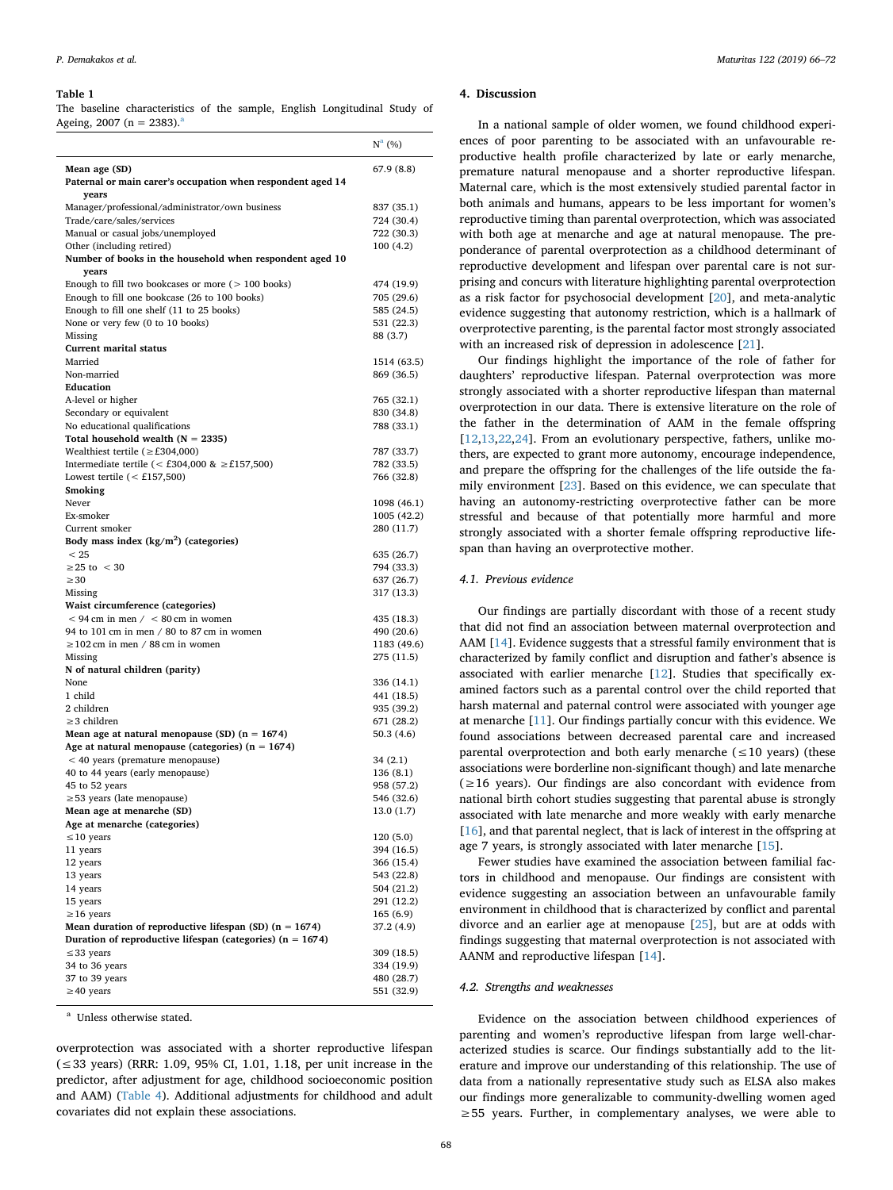#### <span id="page-2-0"></span>**Table 1**

The baseline characteristics of the sample, English Longitudinal Study of Ageing, 2007 (n = 2383). $^{6}$ 

|                                                                                            | $N^a$ (%)                |
|--------------------------------------------------------------------------------------------|--------------------------|
| Mean age (SD)                                                                              | 67.9 (8.8)               |
| Paternal or main carer's occupation when respondent aged 14                                |                          |
| years                                                                                      |                          |
| Manager/professional/administrator/own business<br>Trade/care/sales/services               | 837 (35.1)<br>724 (30.4) |
| Manual or casual jobs/unemployed                                                           | 722 (30.3)               |
| Other (including retired)                                                                  | 100(4.2)                 |
| Number of books in the household when respondent aged 10                                   |                          |
| years                                                                                      |                          |
| Enough to fill two bookcases or more $($ > 100 books)                                      | 474 (19.9)               |
| Enough to fill one bookcase (26 to 100 books)<br>Enough to fill one shelf (11 to 25 books) | 705 (29.6)<br>585 (24.5) |
| None or very few (0 to 10 books)                                                           | 531 (22.3)               |
| Missing                                                                                    | 88 (3.7)                 |
| <b>Current marital status</b>                                                              |                          |
| Married                                                                                    | 1514 (63.5)              |
| Non-married                                                                                | 869 (36.5)               |
| Education<br>A-level or higher                                                             | 765 (32.1)               |
| Secondary or equivalent                                                                    | 830 (34.8)               |
| No educational qualifications                                                              | 788 (33.1)               |
| Total household wealth $(N = 2335)$                                                        |                          |
| Wealthiest tertile ( $\geq$ £304,000)                                                      | 787 (33.7)               |
| Intermediate tertile (< £304,000 & $\geq$ £157,500)                                        | 782 (33.5)               |
| Lowest tertile $(<$ £157,500)                                                              | 766 (32.8)               |
| Smoking<br>Never                                                                           | 1098 (46.1)              |
| Ex-smoker                                                                                  | 1005 (42.2)              |
| Current smoker                                                                             | 280 (11.7)               |
| Body mass index $(kg/m2)$ (categories)                                                     |                          |
| < 25                                                                                       | 635 (26.7)               |
| $\geq$ 25 to $\leq$ 30                                                                     | 794 (33.3)               |
| $\geq$ 30<br>Missing                                                                       | 637 (26.7)<br>317 (13.3) |
| Waist circumference (categories)                                                           |                          |
| $<$ 94 cm in men $/$ $<$ 80 cm in women                                                    | 435 (18.3)               |
| 94 to 101 cm in men / 80 to 87 cm in women                                                 | 490 (20.6)               |
| $\geq$ 102 cm in men / 88 cm in women                                                      | 1183 (49.6)              |
| Missing                                                                                    | 275 (11.5)               |
| N of natural children (parity)<br>None                                                     | 336 (14.1)               |
| 1 child                                                                                    | 441 (18.5)               |
| 2 children                                                                                 | 935 (39.2)               |
| $\geq$ 3 children                                                                          | 671 (28.2)               |
| Mean age at natural menopause (SD) $(n = 1674)$                                            | 50.3 (4.6)               |
| Age at natural menopause (categories) ( $n = 1674$ )                                       |                          |
| < 40 years (premature menopause)<br>40 to 44 years (early menopause)                       | 34 (2.1)<br>136 (8.1)    |
| 45 to 52 years                                                                             | 958 (57.2)               |
| $\geq$ 53 years (late menopause)                                                           | 546 (32.6)               |
| Mean age at menarche (SD)                                                                  | 13.0 (1.7)               |
| Age at menarche (categories)                                                               |                          |
| $\leq 10$ years                                                                            | 120 (5.0)                |
| 11 years<br>12 years                                                                       | 394 (16.5)<br>366 (15.4) |
| 13 years                                                                                   | 543 (22.8)               |
| 14 years                                                                                   | 504 (21.2)               |
| 15 years                                                                                   | 291 (12.2)               |
| $\geq$ 16 years                                                                            | 165(6.9)                 |
| Mean duration of reproductive lifespan (SD) $(n = 1674)$                                   | 37.2 (4.9)               |
| Duration of reproductive lifespan (categories) ( $n = 1674$ )<br>$\leq$ 33 years           | 309 (18.5)               |
| 34 to 36 years                                                                             | 334 (19.9)               |
| 37 to 39 years                                                                             | 480 (28.7)               |
| $\geq$ 40 years                                                                            | 551 (32.9)               |
|                                                                                            |                          |

<span id="page-2-1"></span><sup>a</sup> Unless otherwise stated.

overprotection was associated with a shorter reproductive lifespan (≤33 years) (RRR: 1.09, 95% CI, 1.01, 1.18, per unit increase in the predictor, after adjustment for age, childhood socioeconomic position and AAM) ([Table 4](#page-4-0)). Additional adjustments for childhood and adult covariates did not explain these associations.

#### **4. Discussion**

In a national sample of older women, we found childhood experiences of poor parenting to be associated with an unfavourable reproductive health profile characterized by late or early menarche, premature natural menopause and a shorter reproductive lifespan. Maternal care, which is the most extensively studied parental factor in both animals and humans, appears to be less important for women's reproductive timing than parental overprotection, which was associated with both age at menarche and age at natural menopause. The preponderance of parental overprotection as a childhood determinant of reproductive development and lifespan over parental care is not surprising and concurs with literature highlighting parental overprotection as a risk factor for psychosocial development [[20\]](#page-6-8), and meta-analytic evidence suggesting that autonomy restriction, which is a hallmark of overprotective parenting, is the parental factor most strongly associated with an increased risk of depression in adolescence [\[21](#page-6-9)].

Our findings highlight the importance of the role of father for daughters' reproductive lifespan. Paternal overprotection was more strongly associated with a shorter reproductive lifespan than maternal overprotection in our data. There is extensive literature on the role of the father in the determination of AAM in the female offspring [[12](#page-6-10)[,13](#page-6-11)[,22](#page-6-12),[24\]](#page-6-13). From an evolutionary perspective, fathers, unlike mothers, are expected to grant more autonomy, encourage independence, and prepare the offspring for the challenges of the life outside the family environment [\[23](#page-6-14)]. Based on this evidence, we can speculate that having an autonomy-restricting overprotective father can be more stressful and because of that potentially more harmful and more strongly associated with a shorter female offspring reproductive lifespan than having an overprotective mother.

# *4.1. Previous evidence*

Our findings are partially discordant with those of a recent study that did not find an association between maternal overprotection and AAM [[14\]](#page-6-4). Evidence suggests that a stressful family environment that is characterized by family conflict and disruption and father's absence is associated with earlier menarche [[12\]](#page-6-10). Studies that specifically examined factors such as a parental control over the child reported that harsh maternal and paternal control were associated with younger age at menarche [[11\]](#page-6-3). Our findings partially concur with this evidence. We found associations between decreased parental care and increased parental overprotection and both early menarche ( $\leq 10$  years) (these associations were borderline non-significant though) and late menarche (≥16 years). Our findings are also concordant with evidence from national birth cohort studies suggesting that parental abuse is strongly associated with late menarche and more weakly with early menarche [[16\]](#page-6-15), and that parental neglect, that is lack of interest in the offspring at age 7 years, is strongly associated with later menarche [\[15](#page-6-16)].

Fewer studies have examined the association between familial factors in childhood and menopause. Our findings are consistent with evidence suggesting an association between an unfavourable family environment in childhood that is characterized by conflict and parental divorce and an earlier age at menopause [[25\]](#page-6-17), but are at odds with findings suggesting that maternal overprotection is not associated with AANM and reproductive lifespan [[14\]](#page-6-4).

# *4.2. Strengths and weaknesses*

Evidence on the association between childhood experiences of parenting and women's reproductive lifespan from large well-characterized studies is scarce. Our findings substantially add to the literature and improve our understanding of this relationship. The use of data from a nationally representative study such as ELSA also makes our findings more generalizable to community-dwelling women aged ≥55 years. Further, in complementary analyses, we were able to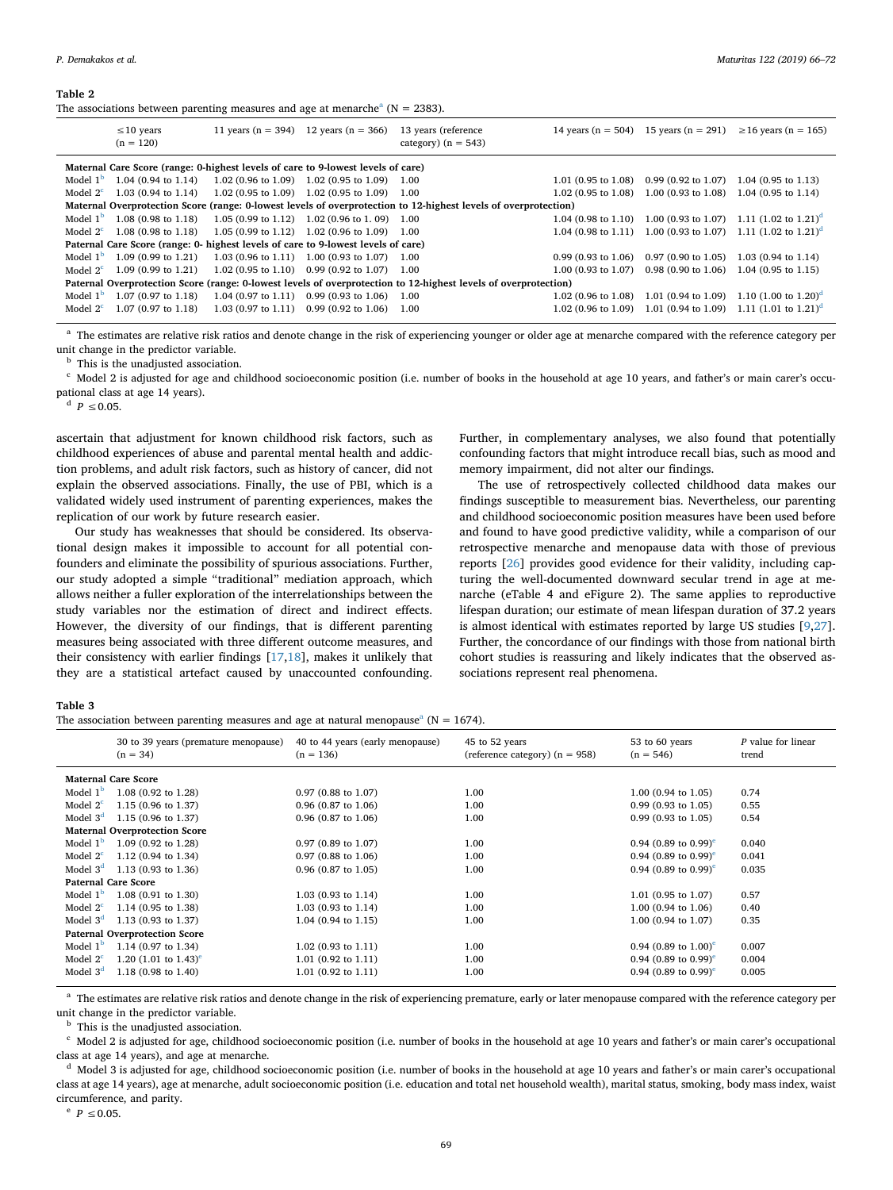#### <span id="page-3-0"></span>**Table 2**

The [a](#page-3-2)ssociations between parenting measures and age at menarche<sup>a</sup> ( $N = 2383$ ).

| $\leq 10$ years<br>$(n = 120)$                                                                                  |                                                                                                                 | 11 years (n = 394) 12 years (n = 366)                   | 13 years (reference<br>category) ( $n = 543$ ) |                               | 14 years ( $n = 504$ ) 15 years ( $n = 291$ ) | $\geq$ 16 years (n = 165)                                                |
|-----------------------------------------------------------------------------------------------------------------|-----------------------------------------------------------------------------------------------------------------|---------------------------------------------------------|------------------------------------------------|-------------------------------|-----------------------------------------------|--------------------------------------------------------------------------|
| Maternal Care Score (range: 0-highest levels of care to 9-lowest levels of care)                                |                                                                                                                 |                                                         |                                                |                               |                                               |                                                                          |
| Model $1^b$ 1.04 (0.94 to 1.14)                                                                                 |                                                                                                                 | $1.02(0.96 \text{ to } 1.09)$ 1.02 (0.95 to 1.09) 1.00  |                                                | $1.01(0.95 \text{ to } 1.08)$ | $0.99(0.92 \text{ to } 1.07)$                 | $1.04$ (0.95 to 1.13)                                                    |
| Model $2^c$ 1.03 (0.94 to 1.14)                                                                                 | $1.02(0.95 \text{ to } 1.09)$ $1.02(0.95 \text{ to } 1.09)$                                                     |                                                         | - 1.00                                         | $1.02(0.95 \text{ to } 1.08)$ | $1.00(0.93 \text{ to } 1.08)$                 | $1.04$ (0.95 to 1.14)                                                    |
|                                                                                                                 | Maternal Overprotection Score (range: 0-lowest levels of overprotection to 12-highest levels of overprotection) |                                                         |                                                |                               |                                               |                                                                          |
| Model $1b$ 1.08 (0.98 to 1.18)                                                                                  |                                                                                                                 | $1.05(0.99 \text{ to } 1.12)$ 1.02 (0.96 to 1, 09) 1.00 |                                                | $1.04(0.98 \text{ to } 1.10)$ |                                               | 1.00 (0.93 to 1.07) 1.11 (1.02 to 1.21) <sup>d</sup>                     |
| Model $2^c$ 1.08 (0.98 to 1.18)                                                                                 |                                                                                                                 | $1.05(0.99 \text{ to } 1.12)$ 1.02 (0.96 to 1.09) 1.00  |                                                | $1.04(0.98 \text{ to } 1.11)$ |                                               | 1.00 (0.93 to 1.07) 1.11 (1.02 to 1.21) <sup>d</sup>                     |
| Paternal Care Score (range: 0- highest levels of care to 9-lowest levels of care)                               |                                                                                                                 |                                                         |                                                |                               |                                               |                                                                          |
| Model $1^b$ 1.09 (0.99 to 1.21)                                                                                 |                                                                                                                 | $1.03(0.96 \text{ to } 1.11)$ 1.00 (0.93 to 1.07)       | 1.00                                           | $0.99(0.93 \text{ to } 1.06)$ | $0.97(0.90 \text{ to } 1.05)$                 | 1.03 (0.94 to 1.14)                                                      |
| Model $2^c$ 1.09 (0.99 to 1.21)                                                                                 |                                                                                                                 | $1.02$ (0.95 to 1.10) 0.99 (0.92 to 1.07) 1.00          |                                                | $1.00(0.93 \text{ to } 1.07)$ | $0.98(0.90 \text{ to } 1.06)$                 | $1.04(0.95 \text{ to } 1.15)$                                            |
| Paternal Overprotection Score (range: 0-lowest levels of overprotection to 12-highest levels of overprotection) |                                                                                                                 |                                                         |                                                |                               |                                               |                                                                          |
| Model $1^{\circ}$ 1.07 (0.97 to 1.18)                                                                           |                                                                                                                 | $1.04(0.97 \text{ to } 1.11)$ 0.99 (0.93 to 1.06)       | 1.00                                           | $1.02(0.96 \text{ to } 1.08)$ |                                               | 1.01 (0.94 to 1.09) 1.10 (1.00 to 1.20) <sup>d</sup>                     |
| Model $2^c$ 1.07 (0.97 to 1.18)                                                                                 |                                                                                                                 | $1.03(0.97 \text{ to } 1.11)$ 0.99 (0.92 to 1.06)       | 1.00                                           |                               |                                               | 1.02 (0.96 to 1.09) 1.01 (0.94 to 1.09) 1.11 (1.01 to 1.21) <sup>d</sup> |

<span id="page-3-2"></span><sup>a</sup> The estimates are relative risk ratios and denote change in the risk of experiencing younger or older age at menarche compared with the reference category per unit change in the predictor variable.

<span id="page-3-3"></span><sup>b</sup> This is the unadjusted association.

<span id="page-3-4"></span><sup>c</sup> Model 2 is adjusted for age and childhood socioeconomic position (i.e. number of books in the household at age 10 years, and father's or main carer's occupational class at age 14 years).

<span id="page-3-5"></span><sup>d</sup>  $P \le 0.05$ .

ascertain that adjustment for known childhood risk factors, such as childhood experiences of abuse and parental mental health and addiction problems, and adult risk factors, such as history of cancer, did not explain the observed associations. Finally, the use of PBI, which is a validated widely used instrument of parenting experiences, makes the replication of our work by future research easier.

Our study has weaknesses that should be considered. Its observational design makes it impossible to account for all potential confounders and eliminate the possibility of spurious associations. Further, our study adopted a simple "traditional" mediation approach, which allows neither a fuller exploration of the interrelationships between the study variables nor the estimation of direct and indirect effects. However, the diversity of our findings, that is different parenting measures being associated with three different outcome measures, and their consistency with earlier findings [[17,](#page-6-5)[18\]](#page-6-6), makes it unlikely that they are a statistical artefact caused by unaccounted confounding.

Further, in complementary analyses, we also found that potentially confounding factors that might introduce recall bias, such as mood and memory impairment, did not alter our findings.

The use of retrospectively collected childhood data makes our findings susceptible to measurement bias. Nevertheless, our parenting and childhood socioeconomic position measures have been used before and found to have good predictive validity, while a comparison of our retrospective menarche and menopause data with those of previous reports [[26\]](#page-6-18) provides good evidence for their validity, including capturing the well-documented downward secular trend in age at menarche (eTable 4 and eFigure 2). The same applies to reproductive lifespan duration; our estimate of mean lifespan duration of 37.2 years is almost identical with estimates reported by large US studies [\[9,](#page-6-1)[27](#page-6-19)]. Further, the concordance of our findings with those from national birth cohort studies is reassuring and likely indicates that the observed associations represent real phenomena.

### <span id="page-3-1"></span>**Table 3**

The [a](#page-3-6)ssociation between parenting measures and age at natural menopause<sup>a</sup> (N = 1674).

|                                      | 30 to 39 years (premature menopause)<br>$(n = 34)$ | 40 to 44 years (early menopause)<br>$(n = 136)$ | 45 to 52 years<br>(reference category) $(n = 958)$ | 53 to 60 years<br>$(n = 546)$       | P value for linear<br>trend |  |
|--------------------------------------|----------------------------------------------------|-------------------------------------------------|----------------------------------------------------|-------------------------------------|-----------------------------|--|
| Maternal Care Score                  |                                                    |                                                 |                                                    |                                     |                             |  |
| Model 1 <sup>b</sup>                 | $1.08$ (0.92 to 1.28)                              | $0.97$ (0.88 to 1.07)                           | 1.00                                               | $1.00$ (0.94 to 1.05)               | 0.74                        |  |
| Model $2c$                           | 1.15 (0.96 to 1.37)                                | $0.96$ (0.87 to 1.06)                           | 1.00                                               | $0.99(0.93 \text{ to } 1.05)$       | 0.55                        |  |
| Model $3d$                           | $1.15(0.96 \text{ to } 1.37)$                      | $0.96$ (0.87 to 1.06)                           | 1.00                                               | $0.99(0.93 \text{ to } 1.05)$       | 0.54                        |  |
|                                      | <b>Maternal Overprotection Score</b>               |                                                 |                                                    |                                     |                             |  |
| Model $1b$                           | 1.09 (0.92 to 1.28)                                | $0.97$ (0.89 to 1.07)                           | 1.00                                               | 0.94 $(0.89 \text{ to } 0.99)^e$    | 0.040                       |  |
| Model $2c$                           | 1.12 (0.94 to 1.34)                                | $0.97(0.88 \text{ to } 1.06)$                   | 1.00                                               | 0.94 $(0.89 \text{ to } 0.99)^e$    | 0.041                       |  |
| Model $3d$                           | 1.13 (0.93 to 1.36)                                | $0.96$ (0.87 to 1.05)                           | 1.00                                               | 0.94 $(0.89 \text{ to } 0.99)^e$    | 0.035                       |  |
| <b>Paternal Care Score</b>           |                                                    |                                                 |                                                    |                                     |                             |  |
|                                      | Model $1b$ 1.08 (0.91 to 1.30)                     | $1.03(0.93 \text{ to } 1.14)$                   | 1.00                                               | $1.01$ (0.95 to 1.07)               | 0.57                        |  |
| Model $2c$                           | 1.14 $(0.95 \text{ to } 1.38)$                     | $1.03(0.93 \text{ to } 1.14)$                   | 1.00                                               | $1.00$ (0.94 to 1.06)               | 0.40                        |  |
| Model $3d$                           | $1.13(0.93 \text{ to } 1.37)$                      | $1.04$ (0.94 to 1.15)                           | 1.00                                               | $1.00$ (0.94 to 1.07)               | 0.35                        |  |
| <b>Paternal Overprotection Score</b> |                                                    |                                                 |                                                    |                                     |                             |  |
| Model $1b$                           | 1.14 (0.97 to 1.34)                                | $1.02$ (0.93 to 1.11)                           | 1.00                                               | 0.94 (0.89 to $1.00$ ) <sup>e</sup> | 0.007                       |  |
| Model $2c$                           | 1.20 $(1.01 \text{ to } 1.43)^e$                   | $1.01$ (0.92 to $1.11$ )                        | 1.00                                               | 0.94 $(0.89 \text{ to } 0.99)^e$    | 0.004                       |  |
| Model $3d$                           | 1.18 (0.98 to 1.40)                                | $1.01$ (0.92 to $1.11$ )                        | 1.00                                               | 0.94 (0.89 to 0.99) <sup>e</sup>    | 0.005                       |  |
|                                      |                                                    |                                                 |                                                    |                                     |                             |  |

<span id="page-3-6"></span><sup>a</sup> The estimates are relative risk ratios and denote change in the risk of experiencing premature, early or later menopause compared with the reference category per unit change in the predictor variable.

<span id="page-3-7"></span>This is the unadjusted association.

<span id="page-3-8"></span><sup>c</sup> Model 2 is adjusted for age, childhood socioeconomic position (i.e. number of books in the household at age 10 years and father's or main carer's occupational class at age 14 years), and age at menarche.

<span id="page-3-9"></span><sup>d</sup> Model 3 is adjusted for age, childhood socioeconomic position (i.e. number of books in the household at age 10 years and father's or main carer's occupational class at age 14 years), age at menarche, adult socioeconomic position (i.e. education and total net household wealth), marital status, smoking, body mass index, waist circumference, and parity.

<span id="page-3-10"></span> $P \leq 0.05$ .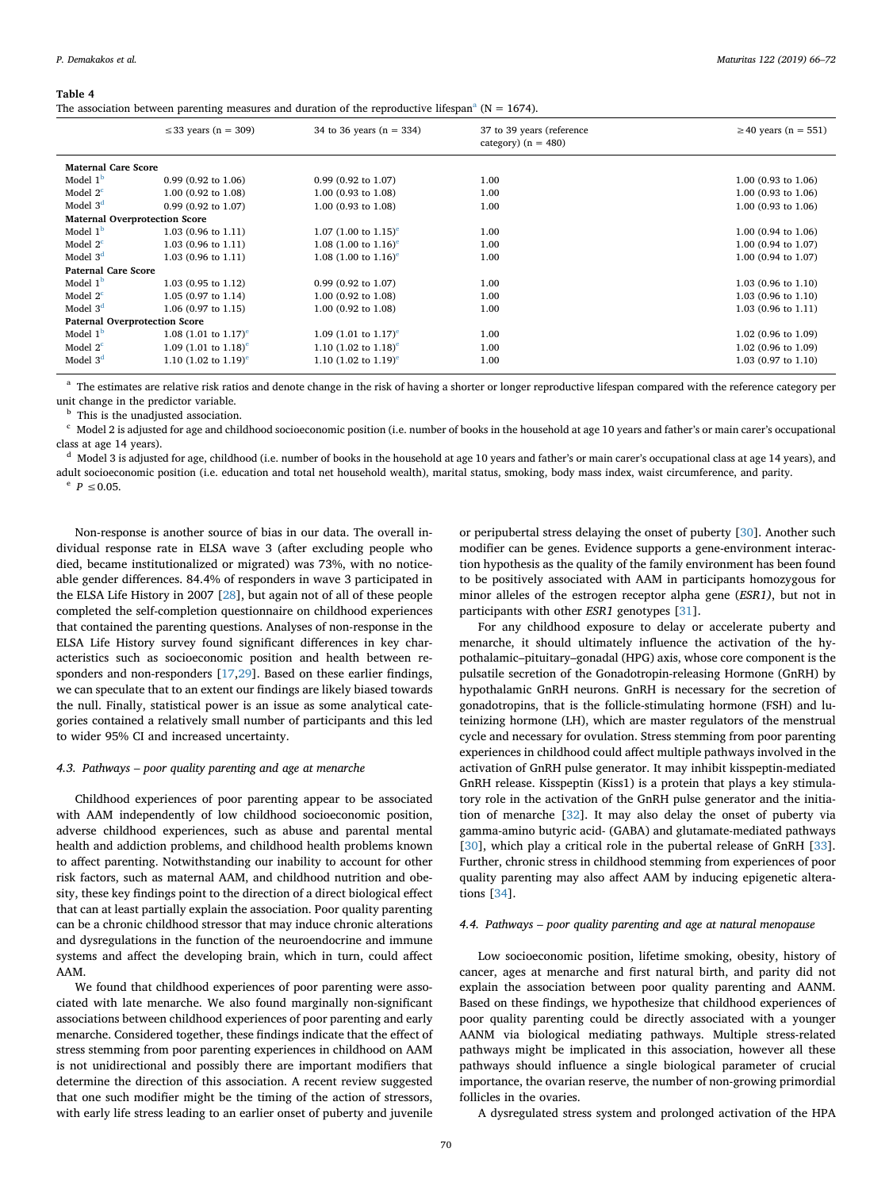#### <span id="page-4-0"></span>**Table 4**

The association between parenting measures and duration of the reproductive lifespan<sup>a</sup> (N = 1674).

|                                      | $\leq$ 33 years (n = 309)        | 34 to 36 years $(n = 334)$       | 37 to 39 years (reference<br>category) $(n = 480)$ | $\geq$ 40 years (n = 551) |  |  |
|--------------------------------------|----------------------------------|----------------------------------|----------------------------------------------------|---------------------------|--|--|
| Maternal Care Score                  |                                  |                                  |                                                    |                           |  |  |
| Model $1b$                           | $0.99$ (0.92 to 1.06)            | $0.99(0.92 \text{ to } 1.07)$    | 1.00                                               | $1.00$ (0.93 to 1.06)     |  |  |
| Model $2c$                           | 1.00 (0.92 to 1.08)              | 1.00 (0.93 to 1.08)              | 1.00                                               | $1.00$ (0.93 to $1.06$ )  |  |  |
| Model $3d$                           | $0.99(0.92 \text{ to } 1.07)$    | 1.00 (0.93 to 1.08)              | 1.00                                               | $1.00$ (0.93 to $1.06$ )  |  |  |
| <b>Maternal Overprotection Score</b> |                                  |                                  |                                                    |                           |  |  |
| Model $1b$                           | $1.03$ (0.96 to 1.11)            | 1.07 $(1.00 \text{ to } 1.15)^e$ | 1.00                                               | $1.00$ (0.94 to 1.06)     |  |  |
| Model $2c$                           | $1.03$ (0.96 to 1.11)            | 1.08 $(1.00 \text{ to } 1.16)^e$ | 1.00                                               | 1.00 (0.94 to 1.07)       |  |  |
| Model $3d$                           | $1.03(0.96 \text{ to } 1.11)$    | 1.08 $(1.00 \text{ to } 1.16)^e$ | 1.00                                               | 1.00 (0.94 to 1.07)       |  |  |
| Paternal Care Score                  |                                  |                                  |                                                    |                           |  |  |
| Model $1b$                           | $1.03(0.95 \text{ to } 1.12)$    | $0.99$ (0.92 to 1.07)            | 1.00                                               | 1.03 (0.96 to 1.10)       |  |  |
| Model $2c$                           | $1.05$ (0.97 to 1.14)            | $1.00$ (0.92 to 1.08)            | 1.00                                               | 1.03 (0.96 to 1.10)       |  |  |
| Model $3d$                           | $1.06$ (0.97 to 1.15)            | 1.00 (0.92 to 1.08)              | 1.00                                               | $1.03$ (0.96 to 1.11)     |  |  |
| <b>Paternal Overprotection Score</b> |                                  |                                  |                                                    |                           |  |  |
| Model $1b$                           | 1.08 $(1.01 \text{ to } 1.17)^e$ | 1.09 $(1.01 \text{ to } 1.17)^e$ | 1.00                                               | $1.02$ (0.96 to 1.09)     |  |  |
| Model $2c$                           | 1.09 $(1.01 \text{ to } 1.18)^e$ | 1.10 $(1.02 \text{ to } 1.18)^e$ | 1.00                                               | $1.02$ (0.96 to 1.09)     |  |  |
| Model $3d$                           | 1.10 $(1.02 \text{ to } 1.19)^e$ | 1.10 $(1.02 \text{ to } 1.19)^e$ | 1.00                                               | 1.03 (0.97 to 1.10)       |  |  |

<span id="page-4-1"></span><sup>a</sup> The estimates are relative risk ratios and denote change in the risk of having a shorter or longer reproductive lifespan compared with the reference category per unit change in the predictor variable.

<span id="page-4-2"></span><sup>b</sup> This is the unadjusted association.

<span id="page-4-3"></span> $c$  Model 2 is adjusted for age and childhood socioeconomic position (i.e. number of books in the household at age 10 years and father's or main carer's occupational class at age 14 years).

<span id="page-4-4"></span><sup>d</sup> Model 3 is adjusted for age, childhood (i.e. number of books in the household at age 10 years and father's or main carer's occupational class at age 14 years), and adult socioeconomic position (i.e. education and total net household wealth), marital status, smoking, body mass index, waist circumference, and parity.

<span id="page-4-5"></span><sup>e</sup> *P ≤*0.05.

Non-response is another source of bias in our data. The overall individual response rate in ELSA wave 3 (after excluding people who died, became institutionalized or migrated) was 73%, with no noticeable gender differences. 84.4% of responders in wave 3 participated in the ELSA Life History in 2007 [[28\]](#page-6-20), but again not of all of these people completed the self-completion questionnaire on childhood experiences that contained the parenting questions. Analyses of non-response in the ELSA Life History survey found significant differences in key characteristics such as socioeconomic position and health between responders and non-responders [[17,](#page-6-5)[29\]](#page-6-21). Based on these earlier findings, we can speculate that to an extent our findings are likely biased towards the null. Finally, statistical power is an issue as some analytical categories contained a relatively small number of participants and this led to wider 95% CI and increased uncertainty.

#### *4.3. Pathways – poor quality parenting and age at menarche*

Childhood experiences of poor parenting appear to be associated with AAM independently of low childhood socioeconomic position, adverse childhood experiences, such as abuse and parental mental health and addiction problems, and childhood health problems known to affect parenting. Notwithstanding our inability to account for other risk factors, such as maternal AAM, and childhood nutrition and obesity, these key findings point to the direction of a direct biological effect that can at least partially explain the association. Poor quality parenting can be a chronic childhood stressor that may induce chronic alterations and dysregulations in the function of the neuroendocrine and immune systems and affect the developing brain, which in turn, could affect AAM.

We found that childhood experiences of poor parenting were associated with late menarche. We also found marginally non-significant associations between childhood experiences of poor parenting and early menarche. Considered together, these findings indicate that the effect of stress stemming from poor parenting experiences in childhood on AAM is not unidirectional and possibly there are important modifiers that determine the direction of this association. A recent review suggested that one such modifier might be the timing of the action of stressors, with early life stress leading to an earlier onset of puberty and juvenile or peripubertal stress delaying the onset of puberty [[30\]](#page-6-22). Another such modifier can be genes. Evidence supports a gene-environment interaction hypothesis as the quality of the family environment has been found to be positively associated with AAM in participants homozygous for minor alleles of the estrogen receptor alpha gene (*ESR1)*, but not in participants with other *ESR1* genotypes [\[31](#page-6-23)].

For any childhood exposure to delay or accelerate puberty and menarche, it should ultimately influence the activation of the hypothalamic–pituitary–gonadal (HPG) axis, whose core component is the pulsatile secretion of the Gonadotropin-releasing Hormone (GnRH) by hypothalamic GnRH neurons. GnRH is necessary for the secretion of gonadotropins, that is the follicle-stimulating hormone (FSH) and luteinizing hormone (LH), which are master regulators of the menstrual cycle and necessary for ovulation. Stress stemming from poor parenting experiences in childhood could affect multiple pathways involved in the activation of GnRH pulse generator. It may inhibit kisspeptin-mediated GnRH release. Kisspeptin (Kiss1) is a protein that plays a key stimulatory role in the activation of the GnRH pulse generator and the initiation of menarche [[32\]](#page-6-24). It may also delay the onset of puberty via gamma-amino butyric acid- (GABA) and glutamate-mediated pathways [[30\]](#page-6-22), which play a critical role in the pubertal release of GnRH [\[33](#page-6-25)]. Further, chronic stress in childhood stemming from experiences of poor quality parenting may also affect AAM by inducing epigenetic alterations [[34\]](#page-6-26).

# *4.4. Pathways – poor quality parenting and age at natural menopause*

Low socioeconomic position, lifetime smoking, obesity, history of cancer, ages at menarche and first natural birth, and parity did not explain the association between poor quality parenting and AANM. Based on these findings, we hypothesize that childhood experiences of poor quality parenting could be directly associated with a younger AANM via biological mediating pathways. Multiple stress-related pathways might be implicated in this association, however all these pathways should influence a single biological parameter of crucial importance, the ovarian reserve, the number of non-growing primordial follicles in the ovaries.

A dysregulated stress system and prolonged activation of the HPA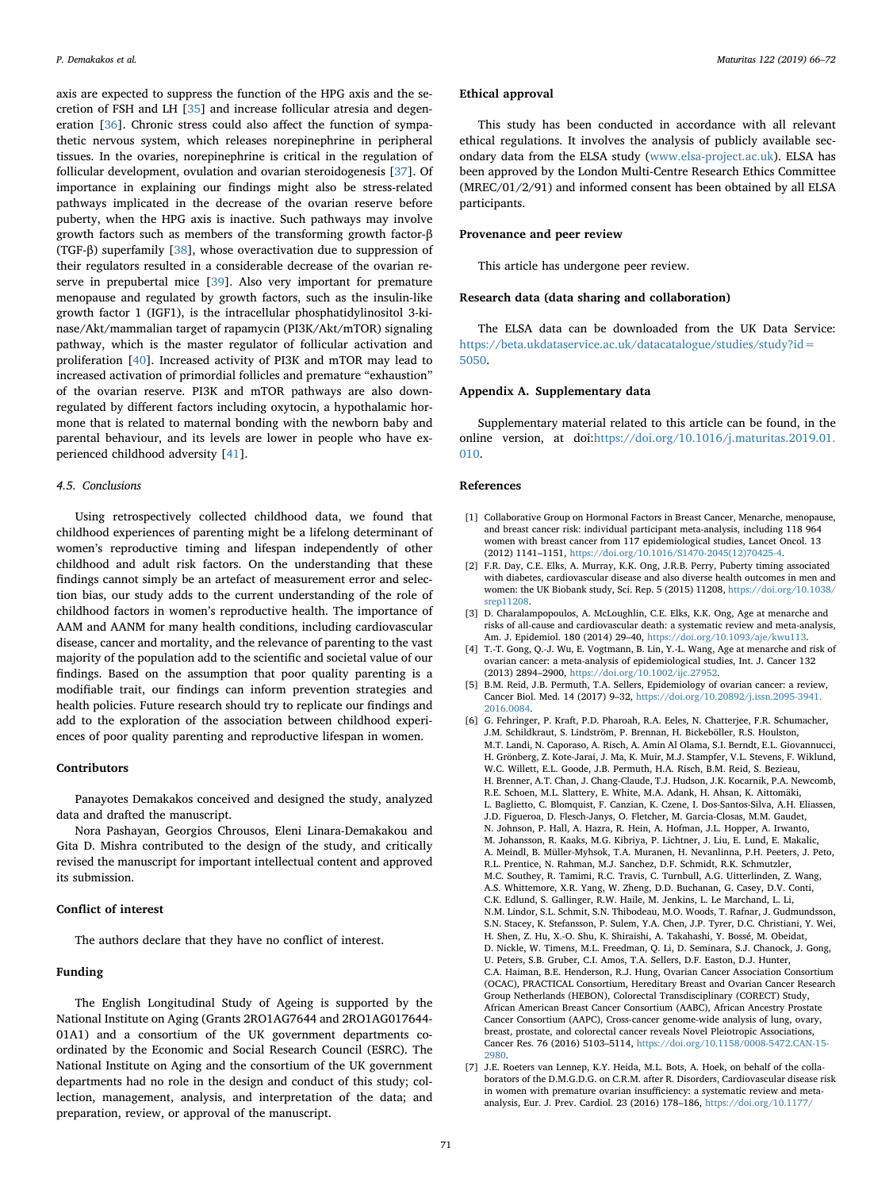axis are expected to suppress the function of the HPG axis and the secretion of FSH and LH [[35\]](#page-6-27) and increase follicular atresia and degeneration [[36\]](#page-6-28). Chronic stress could also affect the function of sympathetic nervous system, which releases norepinephrine in peripheral tissues. In the ovaries, norepinephrine is critical in the regulation of follicular development, ovulation and ovarian steroidogenesis [\[37](#page-6-29)]. Of importance in explaining our findings might also be stress-related pathways implicated in the decrease of the ovarian reserve before puberty, when the HPG axis is inactive. Such pathways may involve growth factors such as members of the transforming growth factor-β (TGF-β) superfamily [\[38](#page-6-30)], whose overactivation due to suppression of their regulators resulted in a considerable decrease of the ovarian reserve in prepubertal mice [[39\]](#page-6-31). Also very important for premature menopause and regulated by growth factors, such as the insulin-like growth factor 1 (IGF1), is the intracellular phosphatidylinositol 3-kinase/Akt/mammalian target of rapamycin (PI3K/Akt/mTOR) signaling pathway, which is the master regulator of follicular activation and proliferation [[40\]](#page-6-32). Increased activity of PI3K and mTOR may lead to increased activation of primordial follicles and premature "exhaustion" of the ovarian reserve. PI3K and mTOR pathways are also downregulated by different factors including oxytocin, a hypothalamic hormone that is related to maternal bonding with the newborn baby and parental behaviour, and its levels are lower in people who have experienced childhood adversity [[41\]](#page-6-33).

#### *4.5. Conclusions*

Using retrospectively collected childhood data, we found that childhood experiences of parenting might be a lifelong determinant of women's reproductive timing and lifespan independently of other childhood and adult risk factors. On the understanding that these findings cannot simply be an artefact of measurement error and selection bias, our study adds to the current understanding of the role of childhood factors in women's reproductive health. The importance of AAM and AANM for many health conditions, including cardiovascular disease, cancer and mortality, and the relevance of parenting to the vast majority of the population add to the scientific and societal value of our findings. Based on the assumption that poor quality parenting is a modifiable trait, our findings can inform prevention strategies and health policies. Future research should try to replicate our findings and add to the exploration of the association between childhood experiences of poor quality parenting and reproductive lifespan in women.

# **Contributors**

Panayotes Demakakos conceived and designed the study, analyzed data and drafted the manuscript.

Nora Pashayan, Georgios Chrousos, Eleni Linara-Demakakou and Gita D. Mishra contributed to the design of the study, and critically revised the manuscript for important intellectual content and approved its submission.

# **Conflict of interest**

The authors declare that they have no conflict of interest.

## **Funding**

The English Longitudinal Study of Ageing is supported by the National Institute on Aging (Grants 2RO1AG7644 and 2RO1AG017644- 01A1) and a consortium of the UK government departments coordinated by the Economic and Social Research Council (ESRC). The National Institute on Aging and the consortium of the UK government departments had no role in the design and conduct of this study; collection, management, analysis, and interpretation of the data; and preparation, review, or approval of the manuscript.

### **Ethical approval**

This study has been conducted in accordance with all relevant ethical regulations. It involves the analysis of publicly available secondary data from the ELSA study ([www.elsa-project.ac.uk](http://www.elsa-project.ac.uk)). ELSA has been approved by the London Multi-Centre Research Ethics Committee (MREC/01/2/91) and informed consent has been obtained by all ELSA participants.

# **Provenance and peer review**

This article has undergone peer review.

# **Research data (data sharing and collaboration)**

The ELSA data can be downloaded from the UK Data Service: [https://beta.ukdataservice.ac.uk/datacatalogue/studies/study?id=](https://beta.ukdataservice.ac.uk/datacatalogue/studies/study?id=5050) [5050.](https://beta.ukdataservice.ac.uk/datacatalogue/studies/study?id=5050)

#### **Appendix A. Supplementary data**

Supplementary material related to this article can be found, in the online version, at doi[:https://doi.org/10.1016/j.maturitas.2019.01.](https://doi.org/10.1016/j.maturitas.2019.01.010) [010](https://doi.org/10.1016/j.maturitas.2019.01.010).

#### **References**

- <span id="page-5-0"></span>[1] Collaborative Group on Hormonal Factors in Breast Cancer, Menarche, menopause, and breast cancer risk: individual participant meta-analysis, including 118 964 women with breast cancer from 117 epidemiological studies, Lancet Oncol. 13 (2012) 1141–1151, [https://doi.org/10.1016/S1470-2045\(12\)70425-4.](https://doi.org/10.1016/S1470-2045(12)70425-4)
- <span id="page-5-1"></span>[2] F.R. Day, C.E. Elks, A. Murray, K.K. Ong, J.R.B. Perry, Puberty timing associated with diabetes, cardiovascular disease and also diverse health outcomes in men and women: the UK Biobank study, Sci. Rep. 5 (2015) 11208, [https://doi.org/10.1038/](https://doi.org/10.1038/srep11208) [srep11208.](https://doi.org/10.1038/srep11208)
- [3] D. Charalampopoulos, A. McLoughlin, C.E. Elks, K.K. Ong, Age at menarche and risks of all-cause and cardiovascular death: a systematic review and meta-analysis, Am. J. Epidemiol. 180 (2014) 29–40, [https://doi.org/10.1093/aje/kwu113.](https://doi.org/10.1093/aje/kwu113)
- [4] T.-T. Gong, Q.-J. Wu, E. Vogtmann, B. Lin, Y.-L. Wang, Age at menarche and risk of ovarian cancer: a meta-analysis of epidemiological studies, Int. J. Cancer 132 (2013) 2894–2900, [https://doi.org/10.1002/ijc.27952.](https://doi.org/10.1002/ijc.27952)
- <span id="page-5-4"></span>[5] B.M. Reid, J.B. Permuth, T.A. Sellers, Epidemiology of ovarian cancer: a review, Cancer Biol. Med. 14 (2017) 9–32, [https://doi.org/10.20892/j.issn.2095-3941.](https://doi.org/10.20892/j.issn.2095-3941.2016.0084) [2016.0084.](https://doi.org/10.20892/j.issn.2095-3941.2016.0084)
- <span id="page-5-2"></span>[6] G. Fehringer, P. Kraft, P.D. Pharoah, R.A. Eeles, N. Chatterjee, F.R. Schumacher, J.M. Schildkraut, S. Lindström, P. Brennan, H. Bickeböller, R.S. Houlston, M.T. Landi, N. Caporaso, A. Risch, A. Amin Al Olama, S.I. Berndt, E.L. Giovannucci, H. Grönberg, Z. Kote-Jarai, J. Ma, K. Muir, M.J. Stampfer, V.L. Stevens, F. Wiklund, W.C. Willett, E.L. Goode, J.B. Permuth, H.A. Risch, B.M. Reid, S. Bezieau, H. Brenner, A.T. Chan, J. Chang-Claude, T.J. Hudson, J.K. Kocarnik, P.A. Newcomb, R.E. Schoen, M.L. Slattery, E. White, M.A. Adank, H. Ahsan, K. Aittomäki, L. Baglietto, C. Blomquist, F. Canzian, K. Czene, I. Dos-Santos-Silva, A.H. Eliassen, J.D. Figueroa, D. Flesch-Janys, O. Fletcher, M. Garcia-Closas, M.M. Gaudet, N. Johnson, P. Hall, A. Hazra, R. Hein, A. Hofman, J.L. Hopper, A. Irwanto, M. Johansson, R. Kaaks, M.G. Kibriya, P. Lichtner, J. Liu, E. Lund, E. Makalic, A. Meindl, B. Müller-Myhsok, T.A. Muranen, H. Nevanlinna, P.H. Peeters, J. Peto, R.L. Prentice, N. Rahman, M.J. Sanchez, D.F. Schmidt, R.K. Schmutzler, M.C. Southey, R. Tamimi, R.C. Travis, C. Turnbull, A.G. Uitterlinden, Z. Wang, A.S. Whittemore, X.R. Yang, W. Zheng, D.D. Buchanan, G. Casey, D.V. Conti, C.K. Edlund, S. Gallinger, R.W. Haile, M. Jenkins, L. Le Marchand, L. Li, N.M. Lindor, S.L. Schmit, S.N. Thibodeau, M.O. Woods, T. Rafnar, J. Gudmundsson, S.N. Stacey, K. Stefansson, P. Sulem, Y.A. Chen, J.P. Tyrer, D.C. Christiani, Y. Wei, H. Shen, Z. Hu, X.-O. Shu, K. Shiraishi, A. Takahashi, Y. Bossé, M. Obeidat, D. Nickle, W. Timens, M.L. Freedman, Q. Li, D. Seminara, S.J. Chanock, J. Gong, U. Peters, S.B. Gruber, C.I. Amos, T.A. Sellers, D.F. Easton, D.J. Hunter, C.A. Haiman, B.E. Henderson, R.J. Hung, Ovarian Cancer Association Consortium (OCAC), PRACTICAL Consortium, Hereditary Breast and Ovarian Cancer Research Group Netherlands (HEBON), Colorectal Transdisciplinary (CORECT) Study, African American Breast Cancer Consortium (AABC), African Ancestry Prostate Cancer Consortium (AAPC), Cross-cancer genome-wide analysis of lung, ovary, breast, prostate, and colorectal cancer reveals Novel Pleiotropic Associations, Cancer Res. 76 (2016) 5103–5114, [https://doi.org/10.1158/0008-5472.CAN-15-](https://doi.org/10.1158/0008-5472.CAN-15-2980) [2980.](https://doi.org/10.1158/0008-5472.CAN-15-2980)
- <span id="page-5-3"></span>[7] J.E. Roeters van Lennep, K.Y. Heida, M.L. Bots, A. Hoek, on behalf of the collaborators of the D.M.G.D.G. on C.R.M. after R. Disorders, Cardiovascular disease risk in women with premature ovarian insufficiency: a systematic review and metaanalysis, Eur. J. Prev. Cardiol. 23 (2016) 178–186, [https://doi.org/10.1177/](https://doi.org/10.1177/2047487314556004)